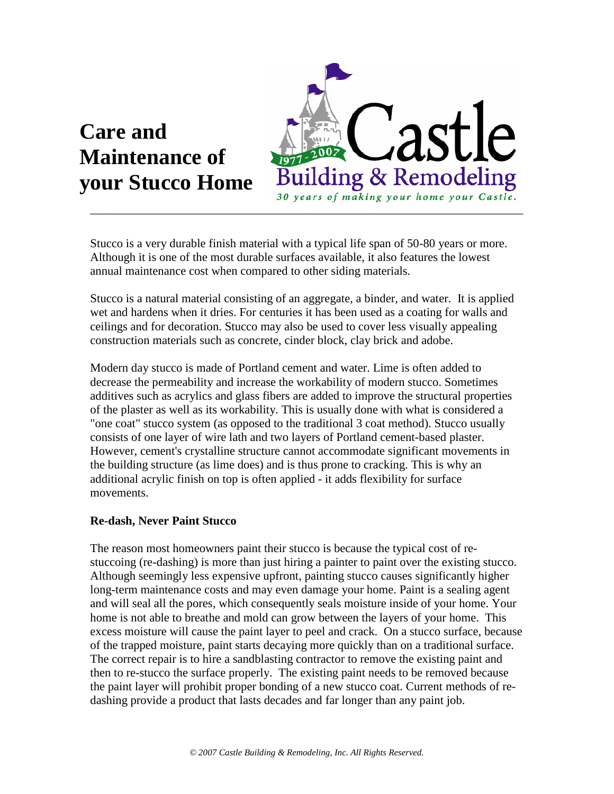# **Care and Maintenance of your Stucco Home**



Stucco is a very durable finish material with a typical life span of 50-80 years or more. Although it is one of the most durable surfaces available, it also features the lowest annual maintenance cost when compared to other siding materials.

Stucco is a natural material consisting of an aggregate, a binder, and water. It is applied wet and hardens when it dries. For centuries it has been used as a coating for walls and ceilings and for decoration. Stucco may also be used to cover less visually appealing construction materials such as concrete, cinder block, clay brick and adobe.

Modern day stucco is made of Portland cement and water. Lime is often added to decrease the permeability and increase the workability of modern stucco. Sometimes additives such as acrylics and glass fibers are added to improve the structural properties of the plaster as well as its workability. This is usually done with what is considered a "one coat" stucco system (as opposed to the traditional 3 coat method). Stucco usually consists of one layer of wire lath and two layers of Portland cement-based plaster. However, cement's crystalline structure cannot accommodate significant movements in the building structure (as lime does) and is thus prone to cracking. This is why an additional acrylic finish on top is often applied - it adds flexibility for surface movements.

## **Re-dash, Never Paint Stucco**

The reason most homeowners paint their stucco is because the typical cost of restuccoing (re-dashing) is more than just hiring a painter to paint over the existing stucco. Although seemingly less expensive upfront, painting stucco causes significantly higher long-term maintenance costs and may even damage your home. Paint is a sealing agent and will seal all the pores, which consequently seals moisture inside of your home. Your home is not able to breathe and mold can grow between the layers of your home. This excess moisture will cause the paint layer to peel and crack. On a stucco surface, because of the trapped moisture, paint starts decaying more quickly than on a traditional surface. The correct repair is to hire a sandblasting contractor to remove the existing paint and then to re-stucco the surface properly. The existing paint needs to be removed because the paint layer will prohibit proper bonding of a new stucco coat. Current methods of redashing provide a product that lasts decades and far longer than any paint job.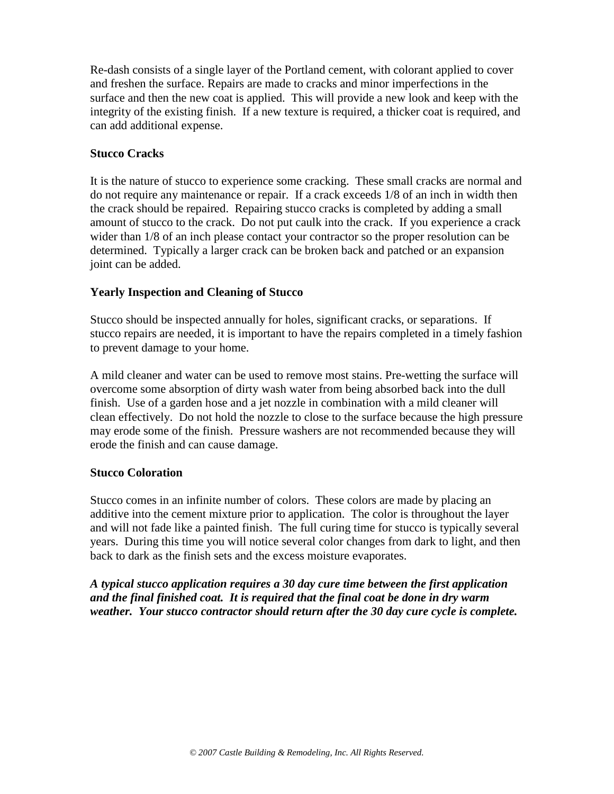Re-dash consists of a single layer of the Portland cement, with colorant applied to cover and freshen the surface. Repairs are made to cracks and minor imperfections in the surface and then the new coat is applied. This will provide a new look and keep with the integrity of the existing finish. If a new texture is required, a thicker coat is required, and can add additional expense.

## **Stucco Cracks**

It is the nature of stucco to experience some cracking. These small cracks are normal and do not require any maintenance or repair. If a crack exceeds 1/8 of an inch in width then the crack should be repaired. Repairing stucco cracks is completed by adding a small amount of stucco to the crack. Do not put caulk into the crack. If you experience a crack wider than  $1/8$  of an inch please contact your contractor so the proper resolution can be determined. Typically a larger crack can be broken back and patched or an expansion joint can be added.

## **Yearly Inspection and Cleaning of Stucco**

Stucco should be inspected annually for holes, significant cracks, or separations. If stucco repairs are needed, it is important to have the repairs completed in a timely fashion to prevent damage to your home.

A mild cleaner and water can be used to remove most stains. Pre-wetting the surface will overcome some absorption of dirty wash water from being absorbed back into the dull finish. Use of a garden hose and a jet nozzle in combination with a mild cleaner will clean effectively. Do not hold the nozzle to close to the surface because the high pressure may erode some of the finish. Pressure washers are not recommended because they will erode the finish and can cause damage.

## **Stucco Coloration**

Stucco comes in an infinite number of colors. These colors are made by placing an additive into the cement mixture prior to application. The color is throughout the layer and will not fade like a painted finish. The full curing time for stucco is typically several years. During this time you will notice several color changes from dark to light, and then back to dark as the finish sets and the excess moisture evaporates.

*A typical stucco application requires a 30 day cure time between the first application and the final finished coat. It is required that the final coat be done in dry warm weather. Your stucco contractor should return after the 30 day cure cycle is complete.*